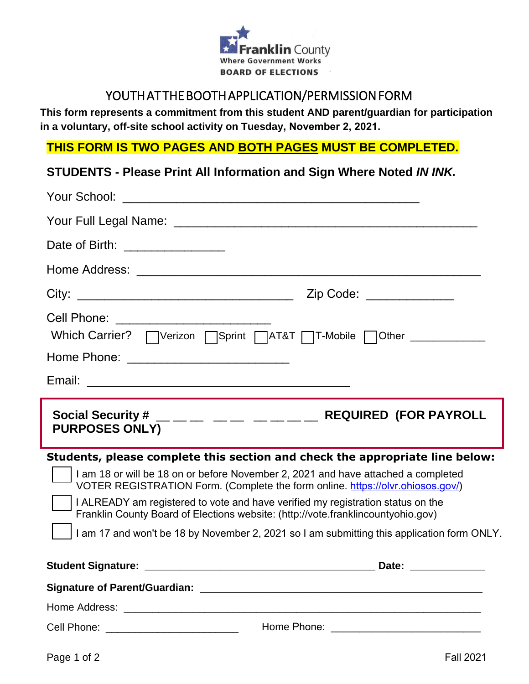

## YOUTH AT THE BOOTH APPLICATION/PERMISSION FORM

**This form represents a commitment from this student AND parent/guardian for participation in a voluntary, off-site school activity on Tuesday, November 2, 2021.**

#### **THIS FORM IS TWO PAGES AND BOTH PAGES MUST BE COMPLETED.**

## **STUDENTS - Please Print All Information and Sign Where Noted** *IN INK.*

| Date of Birth: _______________ |                                                                                                                                                                                                                                                                                                                                                                                                                                                                                                                          |
|--------------------------------|--------------------------------------------------------------------------------------------------------------------------------------------------------------------------------------------------------------------------------------------------------------------------------------------------------------------------------------------------------------------------------------------------------------------------------------------------------------------------------------------------------------------------|
|                                |                                                                                                                                                                                                                                                                                                                                                                                                                                                                                                                          |
|                                | Zip Code: ____________                                                                                                                                                                                                                                                                                                                                                                                                                                                                                                   |
|                                | Cell Phone: <u>__________________________</u><br>Home Phone: <u>_________________________</u>                                                                                                                                                                                                                                                                                                                                                                                                                            |
|                                |                                                                                                                                                                                                                                                                                                                                                                                                                                                                                                                          |
|                                |                                                                                                                                                                                                                                                                                                                                                                                                                                                                                                                          |
| <b>PURPOSES ONLY)</b>          | Social Security # $\_\_\_\_\_\_\_\_\_\_$ $\_\_\_\_\_\_\_\_\_$ $\_\_\_\_\_\_\_\_\_$ REQUIRED (FOR PAYROLL                                                                                                                                                                                                                                                                                                                                                                                                                 |
|                                | Students, please complete this section and check the appropriate line below:<br>I am 18 or will be 18 on or before November 2, 2021 and have attached a completed<br>VOTER REGISTRATION Form. (Complete the form online. https://olvr.ohiosos.gov/)<br>I ALREADY am registered to vote and have verified my registration status on the<br>Franklin County Board of Elections website: (http://vote.franklincountyohio.gov)<br>I am 17 and won't be 18 by November 2, 2021 so I am submitting this application form ONLY. |
|                                |                                                                                                                                                                                                                                                                                                                                                                                                                                                                                                                          |
|                                |                                                                                                                                                                                                                                                                                                                                                                                                                                                                                                                          |
|                                |                                                                                                                                                                                                                                                                                                                                                                                                                                                                                                                          |